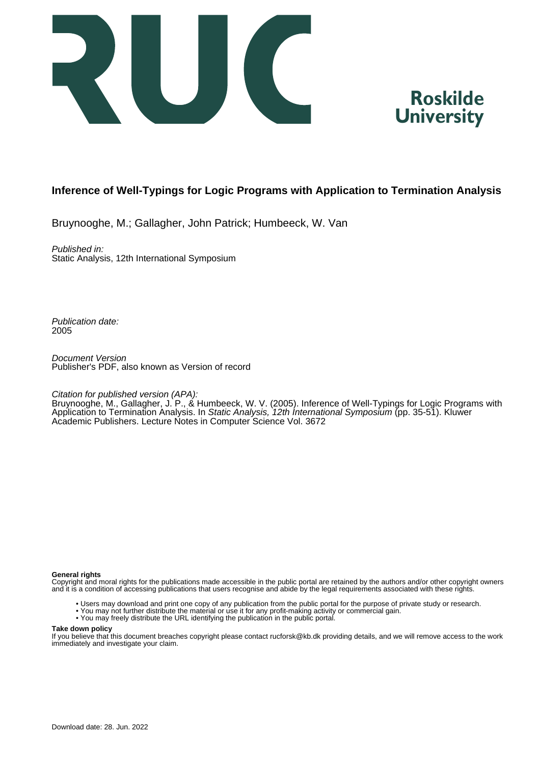



## **Inference of Well-Typings for Logic Programs with Application to Termination Analysis**

Bruynooghe, M.; Gallagher, John Patrick; Humbeeck, W. Van

Published in: Static Analysis, 12th International Symposium

Publication date: 2005

Document Version Publisher's PDF, also known as Version of record

### Citation for published version (APA):

Bruynooghe, M., Gallagher, J. P., & Humbeeck, W. V. (2005). Inference of Well-Typings for Logic Programs with Application to Termination Analysis. In Static Analysis, 12th International Symposium (pp. 35-51). Kluwer Academic Publishers. Lecture Notes in Computer Science Vol. 3672

#### **General rights**

Copyright and moral rights for the publications made accessible in the public portal are retained by the authors and/or other copyright owners and it is a condition of accessing publications that users recognise and abide by the legal requirements associated with these rights.

- Users may download and print one copy of any publication from the public portal for the purpose of private study or research.
- You may not further distribute the material or use it for any profit-making activity or commercial gain.
- You may freely distribute the URL identifying the publication in the public portal.

#### **Take down policy**

If you believe that this document breaches copyright please contact rucforsk@kb.dk providing details, and we will remove access to the work immediately and investigate your claim.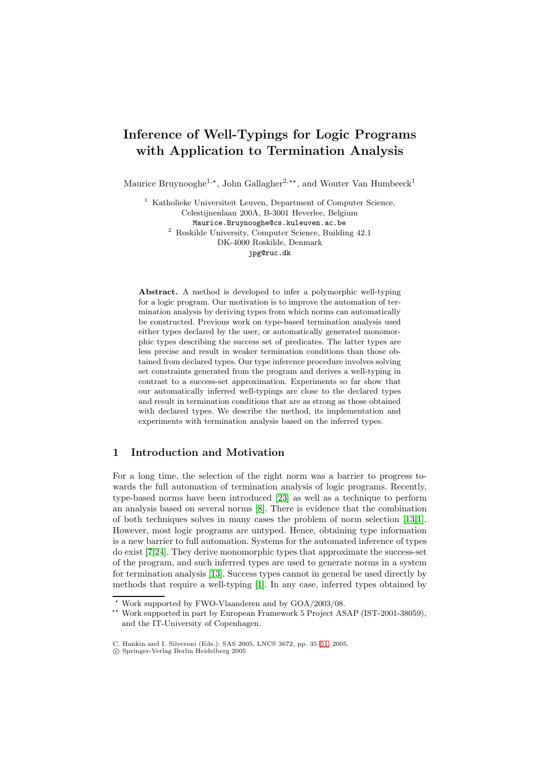# **Inference of Well-Typings for Logic Programs with Application to Termination Analysis**

Maurice Bruynooghe<sup>1,\*</sup>, John Gallagher<sup>2,\*\*</sup>, and Wouter Van Humbeeck<sup>1</sup>

<sup>1</sup> Katholieke Universiteit Leuven, Department of Computer Science, Celestijnenlaan 200A, B-3001 Heverlee, Belgium Maurice.Bruynooghe@cs.kuleuven.ac.be <sup>2</sup> Roskilde University, Computer Science, Building 42.1 DK-4000 Roskilde, Denmark jpg@ruc.dk

**Abstract.** A method is developed to infer a polymorphic well-typing for a logic program. Our motivation is to improve the automation of termination analysis by deriving types from which norms can automatically be constructed. Previous work on type-based termination analysis used either types declared by the user, or automatically generated monomorphic types describing the success set of predicates. The latter types are less precise and result in weaker termination conditions than those obtained from declared types. Our type inference procedure involves solving set constraints generated from the program and derives a well-typing in contrast to a success-set approximation. Experiments so far show that our automatically inferred well-typings are close to the declared types and result in termination conditions that are as strong as those obtained with declared types. We describe the method, its implementation and experiments with termination analysis based on the inferred types.

### **1 Introduction and Motivation**

For a long time, the selection of the right norm was a barrier to progress towards the full automation of termination analysis of logic programs. Recently, type-based norms have been introduced [\[23\]](#page-17-0) as well as a technique to perform an analysis based on several norms [\[8\]](#page-16-0). There is evidence that the combination of both techniques solves in many cases the problem of norm selection [\[13,](#page-16-1)[1\]](#page-15-0). However, most logic programs are untyped. Hence, obtaining type information is a new barrier to full automation. Systems for the automated inference of types do exist [\[7,](#page-16-2)[24\]](#page-17-1). They derive monomorphic types that approximate the success-set of the program, and such inferred types are used to generate norms in a system for termination analysis [\[13\]](#page-16-1). Success types cannot in general be used directly by methods that require a well-typing [\[1\]](#page-15-0). In any case, inferred types obtained by

Work supported by FWO-Vlaanderen and by GOA/2003/08.

<sup>\*\*</sup> Work supported in part by European Framework 5 Project ASAP (IST-2001-38059), and the IT-University of Copenhagen.

C. Hankin and I. Silveroni (Eds.): SAS 2005, LNCS 3672, pp. 35[–51,](#page-15-1) 2005.

c Springer-Verlag Berlin Heidelberg 2005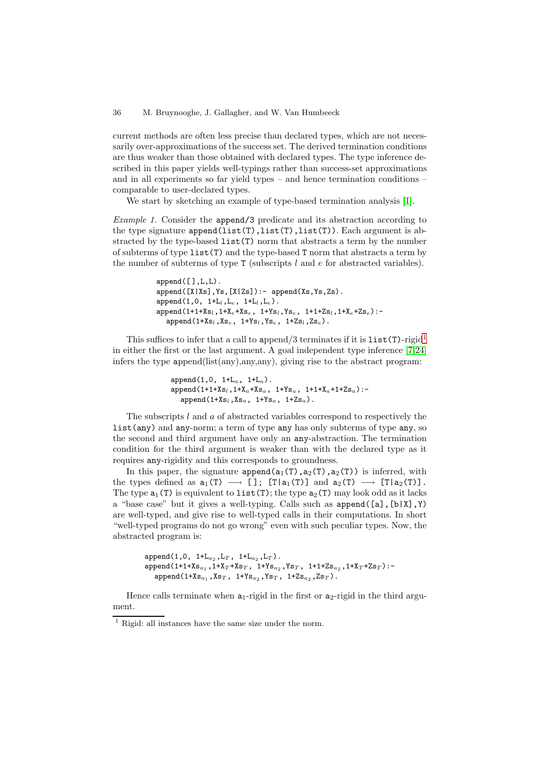current methods are often less precise than declared types, which are not necessarily over-approximations of the success set. The derived termination conditions are thus weaker than those obtained with declared types. The type inference described in this paper yields well-typings rather than success-set approximations and in all experiments so far yield types – and hence termination conditions – comparable to user-declared types.

We start by sketching an example of type-based termination analysis [\[1\]](#page-15-0).

*Example 1.* Consider the append/3 predicate and its abstraction according to the type signature append(list(T),list(T),list(T)). Each argument is abstracted by the type-based  $list(T)$  norm that abstracts a term by the number of subterms of type list(T) and the type-based T norm that abstracts a term by the number of subterms of type  $T$  (subscripts l and e for abstracted variables).

```
append([],L,L).
append([X|Xs], Ys, [X|Zs]): - append(Xs, Ys, Zs).
append(1,0, 1+L_l,L_e, 1+L_l,L_e).
append(1+1+Xs_l,1+X_e+Xs_e, 1+Ys_l,Ys_e, 1+1+Zs_l,1+X_e+Zs_e):-append(1+Xs_l,Xs_e, 1+Ys_l,Ys_e, 1+Zs_l,Zs_e).
```
This suffices to infer that a call to append/3 terminates if it is  $list(T)$ -rigid<sup>[1](#page-2-0)</sup> in either the first or the last argument. A goal independent type inference [\[7](#page-16-2)[,24\]](#page-17-1) infers the type append(list(any),any,any), giving rise to the abstract program:

```
append(1,0, 1+L_a, 1+L_a).
append(1+1+Xs_l,1+X_a+Xs_a, 1+Ys_a, 1+1+X_a+1+Zs_a):-append(1+Xs_l,Xs_a, 1+Ys_a, 1+Zs_a).
```
The subscripts  $l$  and  $a$  of abstracted variables correspond to respectively the list(any) and any-norm; a term of type any has only subterms of type any, so the second and third argument have only an any-abstraction. The termination condition for the third argument is weaker than with the declared type as it requires any-rigidity and this corresponds to groundness.

In this paper, the signature  $append(a_1(T),a_2(T),a_2(T))$  is inferred, with the types defined as  $a_1(T) \longrightarrow [ ] ; [T|a_1(T)]$  and  $a_2(T) \longrightarrow [T|a_2(T)]$ . The type  $a_1(T)$  is equivalent to list(T); the type  $a_2(T)$  may look odd as it lacks a "base case" but it gives a well-typing. Calls such as append([a],[b|X],Y) are well-typed, and give rise to well-typed calls in their computations. In short "well-typed programs do not go wrong" even with such peculiar types. Now, the abstracted program is:

```
append(1,0, 1+L_{a_2},L_T, 1+L_{a_2},L_T).
\mathtt{append(1+1+Xs_{a_1},1+X_T+Xs_T, \ 1+Ys_{a_2},Ys_T, \ 1+1+Zs_{a_2},1+X_T+Zs_T)} :-
   append(1+Xs_{a_1},Xs_T, 1+Ys_{a_2},Ys_T, 1+Zs_{a_2},Zs_T).
```
Hence calls terminate when  $a_1$ -rigid in the first or  $a_2$ -rigid in the third argument.

<span id="page-2-0"></span> $\overline{1}$  Rigid: all instances have the same size under the norm.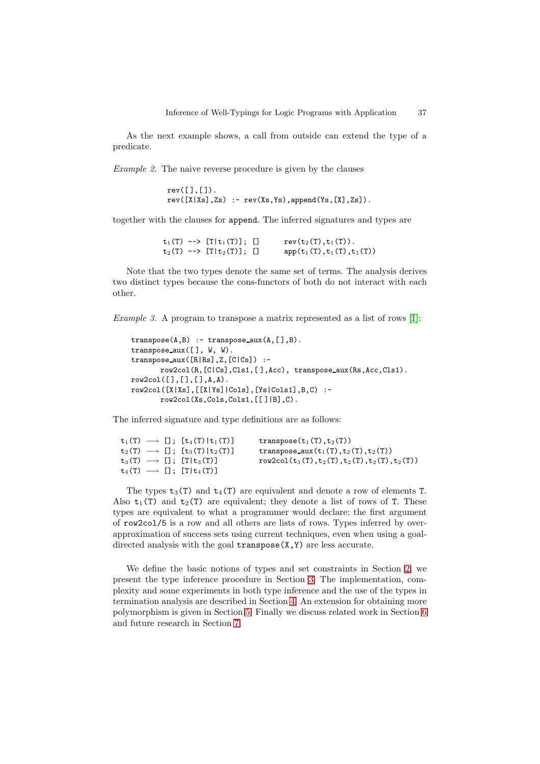<span id="page-3-0"></span>As the next example shows, a call from outside can extend the type of a predicate.

*Example 2.* The naive reverse procedure is given by the clauses

```
rev([], []).
rev([X|Xs],Zs) := rev(Xs,Ys),append(Ys,[X],Zs]).
```
together with the clauses for append. The inferred signatures and types are

```
t_1(T) --> [T|t_1(T)]; [] rev(t_2(T),t_1(T)).
t_2(T) --> [T|t_2(T)]; [] app(t_1(T), t_1(T), t_1(T))
```
Note that the two types denote the same set of terms. The analysis derives two distinct types because the cons-functors of both do not interact with each other.

*Example 3.* A program to transpose a matrix represented as a list of rows [\[1\]](#page-15-0):

```
transpose(A,B) :- transpose_aux(A,[],B).transpose_aux([], W, W).
transpose aux([R|Rs],Z,[C|Cs]) :-
       row2col(R,[C|Cs],Cls1,[ ],Acc), transpose aux(Rs,Acc,Cls1).
row2col([], [], [], A,A).
row2col([X|Xs],[[X|Ys]|Cols],[Ys|Cols1],B,C) :-
       row2col(Xs,Cols,Cols1,[[ ]|B],C).
```
The inferred signature and type definitions are as follows:

|  | $t_1(T) \longrightarrow []$ ; $[t_4(T)   t_1(T)]$  | $transpose(t_1(T), t_2(T))$                                                                             |
|--|----------------------------------------------------|---------------------------------------------------------------------------------------------------------|
|  | $t_2(T) \longrightarrow []$ ; $[t_3(T)   t_2(T) ]$ | transpose_aux(t <sub>1</sub> (T),t <sub>2</sub> (T),t <sub>2</sub> (T))                                 |
|  | $t_3(T) \longrightarrow []$ ; [T  $t_3(T)$ ]       | row2col(t <sub>3</sub> (T),t <sub>2</sub> (T),t <sub>2</sub> (T),t <sub>2</sub> (T),t <sub>2</sub> (T)) |
|  | $t_4(T) \longrightarrow []$ ; [T  $t_4(T)$ ]       |                                                                                                         |
|  |                                                    |                                                                                                         |

The types  $t_3(T)$  and  $t_4(T)$  are equivalent and denote a row of elements T. Also  $t_1(T)$  and  $t_2(T)$  are equivalent; they denote a list of rows of T. These types are equivalent to what a programmer would declare: the first argument of row2col/5 is a row and all others are lists of rows. Types inferred by overapproximation of success sets using current techniques, even when using a goaldirected analysis with the goal  $transpose(X, Y)$  are less accurate.

We define the basic notions of types and set constraints in Section [2;](#page-4-0) we present the type inference procedure in Section [3.](#page-7-0) The implementation, complexity and some experiments in both type inference and the use of the types in termination analysis are described in Section [4.](#page-9-0) An extension for obtaining more polymorphism is given in Section [5.](#page-11-0) Finally we discuss related work in Section [6](#page-14-0) and future research in Section [7.](#page-15-2)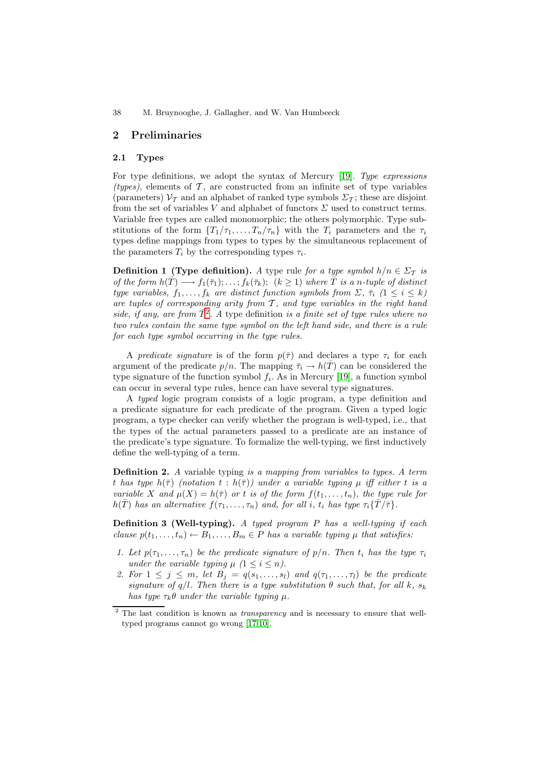### <span id="page-4-0"></span>**2 Preliminaries**

### **2.1 Types**

For type definitions, we adopt the syntax of Mercury [\[19\]](#page-16-3). *Type expressions*  $(types)$ , elements of  $\mathcal T$ , are constructed from an infinite set of type variables (parameters)  $V_T$  and an alphabet of ranked type symbols  $\Sigma_T$ ; these are disjoint from the set of variables V and alphabet of functors  $\Sigma$  used to construct terms. Variable free types are called monomorphic; the others polymorphic. Type substitutions of the form  $\{T_1/\tau_1,\ldots,T_n/\tau_n\}$  with the  $T_i$  parameters and the  $\tau_i$ types define mappings from types to types by the simultaneous replacement of the parameters  $T_i$  by the corresponding types  $\tau_i$ .

**Definition 1 (Type definition).** *A* type rule *for a type symbol*  $h/n \in \Sigma_T$  *is of the form*  $h(\overline{T}) \longrightarrow f_1(\overline{\tau}_1); \ldots; f_k(\overline{\tau}_k);$   $(k \geq 1)$  where  $\overline{T}$  is a n-tuple of distinct *type variables,*  $f_1, \ldots, f_k$  *are distinct function symbols from*  $\Sigma$ ,  $\overline{\tau}_i$  ( $1 \leq i \leq k$ ) *are tuples of corresponding arity from* T *, and type variables in the right hand side, if any, are from*  $\overline{T}^2$  $\overline{T}^2$ . A type definition *is a finite set of type rules where no two rules contain the same type symbol on the left hand side, and there is a rule for each type symbol occurring in the type rules.*

A *predicate signature* is of the form  $p(\bar{\tau})$  and declares a type  $\tau_i$  for each argument of the predicate  $p/n$ . The mapping  $\bar{\tau}_i \to h(\bar{T})$  can be considered the type signature of the function symbol  $f_i$ . As in Mercury [\[19\]](#page-16-3), a function symbol can occur in several type rules, hence can have several type signatures.

A *typed* logic program consists of a logic program, a type definition and a predicate signature for each predicate of the program. Given a typed logic program, a type checker can verify whether the program is well-typed, i.e., that the types of the actual parameters passed to a predicate are an instance of the predicate's type signature. To formalize the well-typing, we first inductively define the well-typing of a term.

**Definition 2.** *A* variable typing *is a mapping from variables to types. A term* t has type  $h(\bar{\tau})$  (notation  $t : h(\bar{\tau})$ ) under a variable typing  $\mu$  *iff either* t *is a variable* X and  $\mu(X) = h(\overline{\tau})$  *or* t *is of the form*  $f(t_1,...,t_n)$ *, the type rule for*  $h(\overline{T})$  *has an alternative*  $f(\tau_1,\ldots,\tau_n)$  *and, for all i, t<sub>i</sub> has type*  $\tau_i\{\overline{T}/\overline{\tau}\}.$ 

**Definition 3 (Well-typing).** *A typed program* P *has a well-typing if each clause*  $p(t_1,...,t_n) \leftarrow B_1,...,B_m \in P$  *has a variable typing*  $\mu$  *that satisfies:* 

- *1. Let*  $p(\tau_1, \ldots, \tau_n)$  *be the predicate signature of*  $p/n$ *. Then*  $t_i$  *has the type*  $\tau_i$ *under the variable typing*  $\mu$   $(1 \leq i \leq n)$ .
- 2. For  $1 \leq j \leq m$ , let  $B_j = q(s_1, \ldots, s_l)$  and  $q(\tau_1, \ldots, \tau_l)$  be the predicate *signature of q/l. Then there is a type substitution*  $\theta$  *such that, for all* k,  $s_k$ *has type*  $\tau_k \theta$  *under the variable typing*  $\mu$ *.*

<span id="page-4-1"></span><sup>2</sup> The last condition is known as *transparency* and is necessary to ensure that welltyped programs cannot go wrong [\[17,](#page-16-4)[10\]](#page-16-5).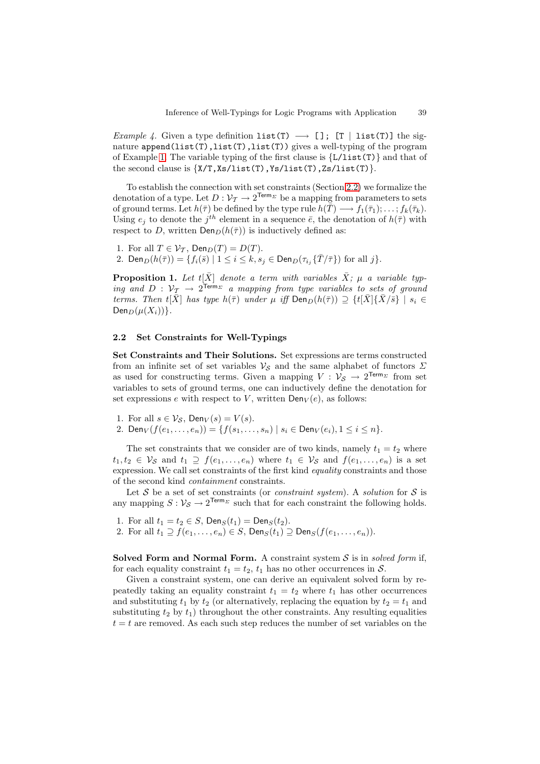*Example 4.* Given a type definition list(T)  $\longrightarrow$  []; [T | list(T)] the signature append(list(T),list(T),list(T)) gives a well-typing of the program of Example [1.](#page-2-1) The variable typing of the first clause is  $\{L/list(T)\}\$  and that of the second clause is  $\{X/T, Xs/Iist(T), Ys/Iist(T), Zs/Iist(T)\}.$ 

To establish the connection with set constraints (Section [2.2\)](#page-5-0) we formalize the denotation of a type. Let  $D: \mathcal{V}_{\mathcal{T}} \to 2^{\text{Term}_{\Sigma}}$  be a mapping from parameters to sets of ground terms. Let  $h(\bar{\tau})$  be defined by the type rule  $h(\bar{T}) \longrightarrow f_1(\bar{\tau}_1); \ldots; f_k(\bar{\tau}_k)$ . Using  $e_i$  to denote the  $j^{th}$  element in a sequence  $\bar{e}$ , the denotation of  $h(\bar{\tau})$  with respect to D, written  $\text{Den}_D(h(\bar{\tau}))$  is inductively defined as:

1. For all  $T \in \mathcal{V}_T$ , Den $_D(T) = D(T)$ . 2. Den $_D(h(\bar{\tau})) = \{f_i(\bar{s}) \mid 1 \leq i \leq k, s_j \in \text{Den}_D(\tau_{i,j} \{\bar{T}/\bar{\tau}\}) \text{ for all } j\}.$ 

<span id="page-5-2"></span>**Proposition 1.** Let  $t[\bar{X}]$  denote a term with variables  $\bar{X}$ ;  $\mu$  a variable typ*ing and*  $D : \mathcal{V}_{\mathcal{I}} \to 2^{\text{Term}_{\mathcal{I}}}$  *a mapping from type variables to sets of ground terms. Then*  $t[\bar{X}]$  *has type*  $h(\bar{\tau})$  *under*  $\mu$  *iff*  $\textsf{Den}_D(h(\bar{\tau})) \supseteq \{t[\bar{X}]\{\bar{X}/\bar{s}\} \mid s_i \in$  $\mathsf{Den}_D(\mu(X_i))\}.$ 

#### <span id="page-5-0"></span>**2.2 Set Constraints for Well-Typings**

**Set Constraints and Their Solutions.** Set expressions are terms constructed from an infinite set of set variables  $\mathcal{V}_S$  and the same alphabet of functors  $\Sigma$ as used for constructing terms. Given a mapping  $V : \mathcal{V}_{\mathcal{S}} \to 2^{\text{Term}_{\Sigma}}$  from set variables to sets of ground terms, one can inductively define the denotation for set expressions e with respect to V, written  $\text{Den}_V(e)$ , as follows:

- 1. For all  $s \in V_{\mathcal{S}}$ , Den $_V(s) = V(s)$ .
- 2. Den $_V(f(e_1,...,e_n)) = \{f(s_1,...,s_n) \mid s_i \in \text{Den}_V(e_i), 1 \leq i \leq n\}.$

The set constraints that we consider are of two kinds, namely  $t_1 = t_2$  where  $t_1, t_2 \in \mathcal{V}_{\mathcal{S}}$  and  $t_1 \supseteq f(e_1, \ldots, e_n)$  where  $t_1 \in \mathcal{V}_{\mathcal{S}}$  and  $f(e_1, \ldots, e_n)$  is a set expression. We call set constraints of the first kind *equality* constraints and those of the second kind *containment* constraints.

Let  $S$  be a set of set constraints (or *constraint system*). A *solution* for  $S$  is any mapping  $S: \mathcal{V}_{\mathcal{S}} \to 2^{\text{Term}_{\mathcal{Z}}}$  such that for each constraint the following holds.

- 1. For all  $t_1 = t_2 \in S$ , Den $S(t_1) = \text{Den}_S(t_2)$ .
- 2. For all  $t_1 \supseteq f(e_1,\ldots,e_n) \in S$ , Den $s(t_1) \supseteq \text{Den}_S(f(e_1,\ldots,e_n))$ .

<span id="page-5-1"></span>**Solved Form and Normal Form.** A constraint system S is in *solved form* if, for each equality constraint  $t_1 = t_2$ ,  $t_1$  has no other occurrences in S.

Given a constraint system, one can derive an equivalent solved form by repeatedly taking an equality constraint  $t_1 = t_2$  where  $t_1$  has other occurrences and substituting  $t_1$  by  $t_2$  (or alternatively, replacing the equation by  $t_2 = t_1$  and substituting  $t_2$  by  $t_1$ ) throughout the other constraints. Any resulting equalities  $t = t$  are removed. As each such step reduces the number of set variables on the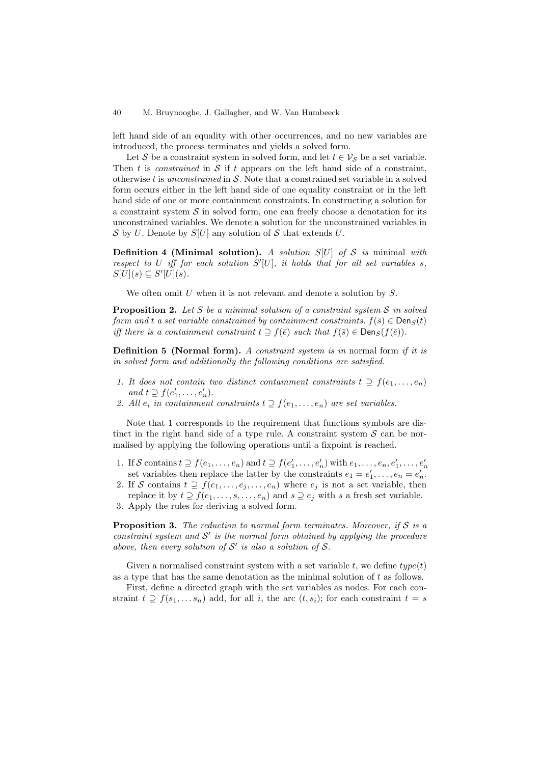left hand side of an equality with other occurrences, and no new variables are introduced, the process terminates and yields a solved form.

Let S be a constraint system in solved form, and let  $t \in V_S$  be a set variable. Then  $t$  is *constrained* in  $S$  if  $t$  appears on the left hand side of a constraint, otherwise t is *unconstrained* in S. Note that a constrained set variable in a solved form occurs either in the left hand side of one equality constraint or in the left hand side of one or more containment constraints. In constructing a solution for a constraint system  $\mathcal S$  in solved form, one can freely choose a denotation for its unconstrained variables. We denote a solution for the unconstrained variables in S by U. Denote by  $S[U]$  any solution of S that extends U.

**Definition 4 (Minimal solution).** *A solution* S[U] *of* S *is* minimal *with respect to* U iff for each solution  $S'[U]$ , it holds that for all set variables s,  $S[U](s) \subseteq S'[U](s)$ .

<span id="page-6-0"></span>We often omit  $U$  when it is not relevant and denote a solution by  $S$ .

**Proposition 2.** Let S be a minimal solution of a constraint system S in solved *form and t a set variable constrained by containment constraints.*  $f(\overline{s}) \in \text{Den}_{S}(t)$ *iff there is a containment constraint*  $t \supseteq f(\bar{e})$  *such that*  $f(\bar{s}) \in \text{Den}_{S}(f(\bar{e}))$ *.* 

**Definition 5 (Normal form).** *A constraint system is in* normal form *if it is in solved form and additionally the following conditions are satisfied.*

- 1. It does not contain two distinct containment constraints  $t \supset f(e_1,\ldots,e_n)$ *and*  $t \supseteq f(e'_1, \ldots, e'_n)$ *.*
- 2. All  $e_i$  *in containment constraints*  $t \supseteq f(e_1, \ldots, e_n)$  *are set variables.*

Note that 1 corresponds to the requirement that functions symbols are distinct in the right hand side of a type rule. A constraint system  $S$  can be normalised by applying the following operations until a fixpoint is reached.

- 1. If S contains  $t \supseteq f(e_1,\ldots,e_n)$  and  $t \supseteq f(e'_1,\ldots,e'_n)$  with  $e_1,\ldots,e_n,e'_1,\ldots,e'_n$ set variables then replace the latter by the constraints  $e_1 = e'_1, \ldots, e_n = e'_n$ .
- 2. If S contains  $t \supseteq f(e_1, \ldots, e_j, \ldots, e_n)$  where  $e_j$  is not a set variable, then replace it by  $t \supseteq f(e_1, \ldots, s, \ldots, e_n)$  and  $s \supseteq e_j$  with s a fresh set variable.
- 3. Apply the rules for deriving a solved form.

<span id="page-6-1"></span>**Proposition 3.** *The reduction to normal form terminates. Moreover, if* S *is a*  $constraint\ system\ and\ S'$  is the normal form obtained by applying the procedure above, then every solution of  $S'$  is also a solution of  $S$ .

Given a normalised constraint system with a set variable t, we define  $type(t)$ as a type that has the same denotation as the minimal solution of  $t$  as follows.

First, define a directed graph with the set variables as nodes. For each constraint  $t \supseteq f(s_1,...s_n)$  add, for all i, the arc  $(t,s_i)$ ; for each constraint  $t = s$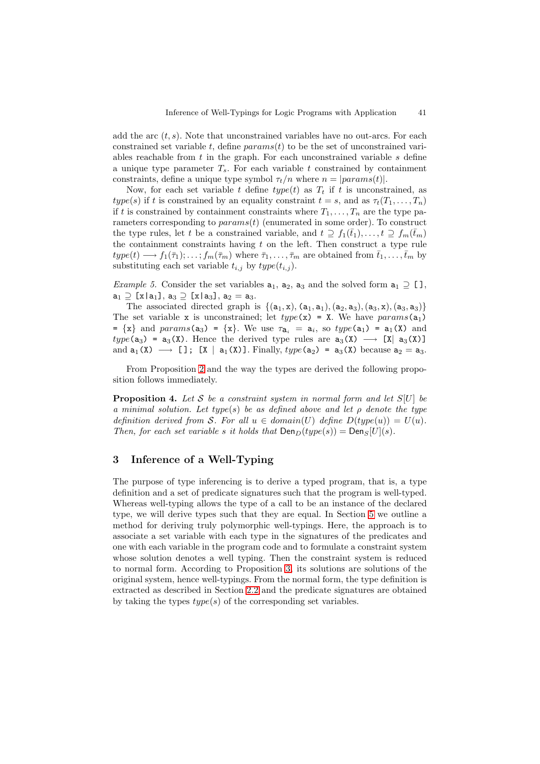add the arc  $(t, s)$ . Note that unconstrained variables have no out-arcs. For each constrained set variable t, define  $params(t)$  to be the set of unconstrained variables reachable from  $t$  in the graph. For each unconstrained variable  $s$  define a unique type parameter  $T_s$ . For each variable t constrained by containment constraints, define a unique type symbol  $\tau_t/n$  where  $n = |params(t)|$ .

Now, for each set variable t define type(t) as  $T_t$  if t is unconstrained, as  $type(s)$  if t is constrained by an equality constraint  $t = s$ , and as  $\tau_t(T_1, \ldots, T_n)$ if t is constrained by containment constraints where  $T_1, \ldots, T_n$  are the type parameters corresponding to  $params(t)$  (enumerated in some order). To construct the type rules, let t be a constrained variable, and  $t \supseteq f_1(\bar{t}_1), \ldots, t \supseteq f_m(\bar{t}_m)$ the containment constraints having  $t$  on the left. Then construct a type rule  $type(t) \longrightarrow f_1(\bar{\tau}_1); \ldots; f_m(\bar{\tau}_m)$  where  $\bar{\tau}_1, \ldots, \bar{\tau}_m$  are obtained from  $\bar{t}_1, \ldots, \bar{t}_m$  by substituting each set variable  $t_{i,j}$  by  $type(t_{i,j})$ .

<span id="page-7-1"></span>*Example 5.* Consider the set variables  $a_1$ ,  $a_2$ ,  $a_3$  and the solved form  $a_1 \supseteq [$ ],  $a_1 \supseteq [x|a_1], a_3 \supseteq [x|a_3], a_2 = a_3.$ 

The associated directed graph is  $\{(a_1, x), (a_1, a_1), (a_2, a_3), (a_3, x), (a_3, a_3)\}\$ The set variable x is unconstrained; let  $type(x) = X$ . We have  $params(a_1)$  $= \{x\}$  and params(a<sub>3</sub>) =  $\{x\}$ . We use  $\tau_{a_i} = a_i$ , so  $type(a_1) = a_1(X)$  and  $type(a_3) = a_3(X)$ . Hence the derived type rules are  $a_3(X) \longrightarrow [X] a_3(X)$ ] and  $a_1(X) \longrightarrow [ ] ; [X | a_1(X) ]$ . Finally,  $type(a_2) = a_3(X)$  because  $a_2 = a_3$ .

<span id="page-7-2"></span>From Proposition [2](#page-6-0) and the way the types are derived the following proposition follows immediately.

**Proposition 4.** *Let* S *be a constraint system in normal form and let* S[U] *be a minimal solution. Let* type(s) *be as defined above and let* ρ *denote the type definition derived from* S. For all  $u \in domain(U)$  *define*  $D(type(u)) = U(u)$ *. Then, for each set variable* s *it holds that*  $\text{Den}_D(type(s)) = \text{Den}_S[U](s)$ *.* 

### <span id="page-7-0"></span>**3 Inference of a Well-Typing**

The purpose of type inferencing is to derive a typed program, that is, a type definition and a set of predicate signatures such that the program is well-typed. Whereas well-typing allows the type of a call to be an instance of the declared type, we will derive types such that they are equal. In Section [5](#page-11-0) we outline a method for deriving truly polymorphic well-typings. Here, the approach is to associate a set variable with each type in the signatures of the predicates and one with each variable in the program code and to formulate a constraint system whose solution denotes a well typing. Then the constraint system is reduced to normal form. According to Proposition [3,](#page-6-1) its solutions are solutions of the original system, hence well-typings. From the normal form, the type definition is extracted as described in Section [2.2](#page-5-1) and the predicate signatures are obtained by taking the types  $type(s)$  of the corresponding set variables.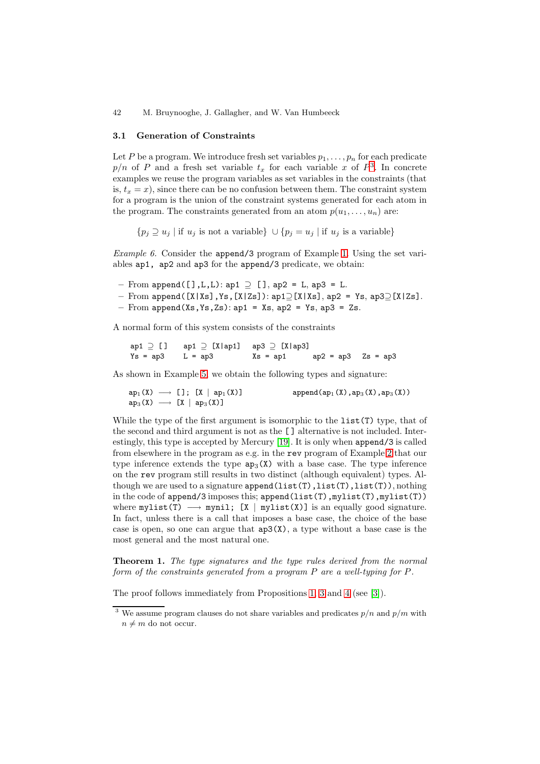#### <span id="page-8-1"></span>**3.1 Generation of Constraints**

Let P be a program. We introduce fresh set variables  $p_1, \ldots, p_n$  for each predicate  $p/n$  of P and a fresh set variable  $t_x$  for each variable x of  $P^3$  $P^3$ . In concrete examples we reuse the program variables as set variables in the constraints (that is,  $t_x = x$ , since there can be no confusion between them. The constraint system for a program is the union of the constraint systems generated for each atom in the program. The constraints generated from an atom  $p(u_1,\ldots,u_n)$  are:

 $\{p_j \supseteq u_j \mid \text{if } u_j \text{ is not a variable}\}\cup \{p_j = u_j \mid \text{if } u_j \text{ is a variable}\}\$ 

*Example 6.* Consider the append/3 program of Example [1.](#page-2-1) Using the set variables ap1, ap2 and ap3 for the append/3 predicate, we obtain:

**–** From append([ ],L,L): ap1 ⊇ [ ], ap2 = L, ap3 = L.

**–** From append([X|Xs],Ys,[X|Zs]): ap1⊇[X|Xs], ap2 = Ys, ap3⊇[X|Zs].

**–** From append(Xs,Ys,Zs): ap1 = Xs, ap2 = Ys, ap3 = Zs.

A normal form of this system consists of the constraints

ap1 ⊇ [] ap1 ⊇ [X|ap1] ap3 ⊇ [X|ap3]  $Ys = ap3$  L =  $ap3$  Xs =  $ap1$  ap2 =  $ap3$  Zs =  $ap3$ 

As shown in Example [5,](#page-7-1) we obtain the following types and signature:

 $ap_1(X) \longrightarrow [ ] ; [X | ap_1(X)]$  append(ap<sub>1</sub>(X),ap<sub>3</sub>(X),ap<sub>3</sub>(X))  $ap_3(X) \longrightarrow [X \mid ap_3(X)]$ 

While the type of the first argument is isomorphic to the list(T) type, that of the second and third argument is not as the [ ] alternative is not included. Interestingly, this type is accepted by Mercury [\[19\]](#page-16-3). It is only when append/3 is called from elsewhere in the program as e.g. in the rev program of Example [2](#page-3-0) that our type inference extends the type  $ap_3(X)$  with a base case. The type inference on the rev program still results in two distinct (although equivalent) types. Although we are used to a signature append  $(iist(T),list(T),list(T))$ , nothing in the code of append/3 imposes this; append(list(T),mylist(T),mylist(T)) where mylist(T)  $\longrightarrow$  mynil; [X | mylist(X)] is an equally good signature. In fact, unless there is a call that imposes a base case, the choice of the base case is open, so one can argue that ap3(X), a type without a base case is the most general and the most natural one.

**Theorem 1.** *The type signatures and the type rules derived from the normal form of the constraints generated from a program* P *are a well-typing for* P*.*

The proof follows immediately from Propositions [1,](#page-5-2) [3](#page-6-1) and [4](#page-7-2) (see [\[3\]](#page-16-6)).

<span id="page-8-0"></span>We assume program clauses do not share variables and predicates  $p/n$  and  $p/m$  with  $n \neq m$  do not occur.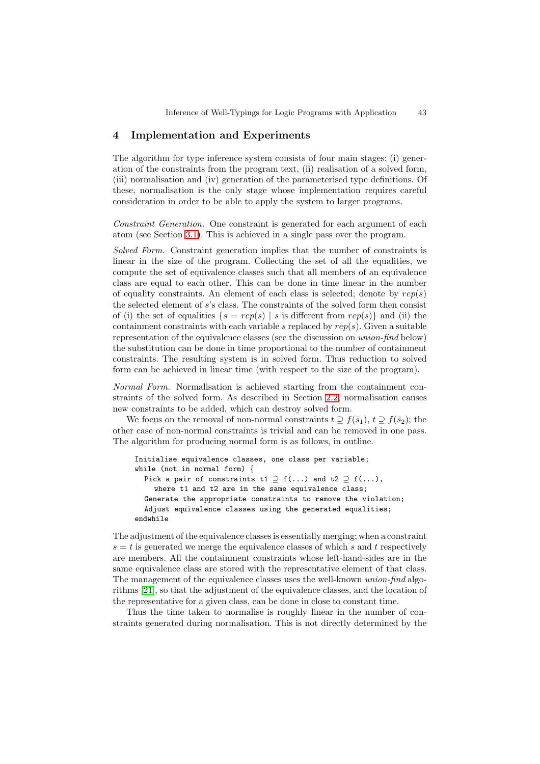### <span id="page-9-0"></span>**4 Implementation and Experiments**

The algorithm for type inference system consists of four main stages: (i) generation of the constraints from the program text, (ii) realisation of a solved form, (iii) normalisation and (iv) generation of the parameterised type definitions. Of these, normalisation is the only stage whose implementation requires careful consideration in order to be able to apply the system to larger programs.

*Constraint Generation.* One constraint is generated for each argument of each atom (see Section [3.1\)](#page-8-1). This is achieved in a single pass over the program.

*Solved Form.* Constraint generation implies that the number of constraints is linear in the size of the program. Collecting the set of all the equalities, we compute the set of equivalence classes such that all members of an equivalence class are equal to each other. This can be done in time linear in the number of equality constraints. An element of each class is selected; denote by  $rep(s)$ the selected element of s's class. The constraints of the solved form then consist of (i) the set of equalities  $\{s = rep(s) | s$  is different from  $rep(s)\}\$  and (ii) the containment constraints with each variable s replaced by  $rep(s)$ . Given a suitable representation of the equivalence classes (see the discussion on *union-find* below) the substitution can be done in time proportional to the number of containment constraints. The resulting system is in solved form. Thus reduction to solved form can be achieved in linear time (with respect to the size of the program).

*Normal Form.* Normalisation is achieved starting from the containment constraints of the solved form. As described in Section [2.2,](#page-5-1) normalisation causes new constraints to be added, which can destroy solved form.

We focus on the removal of non-normal constraints  $t \supseteq f(\bar{s}_1)$ ,  $t \supseteq f(\bar{s}_2)$ ; the other case of non-normal constraints is trivial and can be removed in one pass. The algorithm for producing normal form is as follows, in outline.

```
Initialise equivalence classes, one class per variable;
while (not in normal form) {
  Pick a pair of constraints t1 \supseteq f(...) and t2 \supseteq f(...),
    where t1 and t2 are in the same equivalence class;
  Generate the appropriate constraints to remove the violation;
  Adjust equivalence classes using the generated equalities;
endwhile
```
The adjustment of the equivalence classes is essentially merging; when a constraint  $s = t$  is generated we merge the equivalence classes of which s and t respectively are members. All the containment constraints whose left-hand-sides are in the same equivalence class are stored with the representative element of that class. The management of the equivalence classes uses the well-known *union-find* algorithms [\[21\]](#page-16-7), so that the adjustment of the equivalence classes, and the location of the representative for a given class, can be done in close to constant time.

Thus the time taken to normalise is roughly linear in the number of constraints generated during normalisation. This is not directly determined by the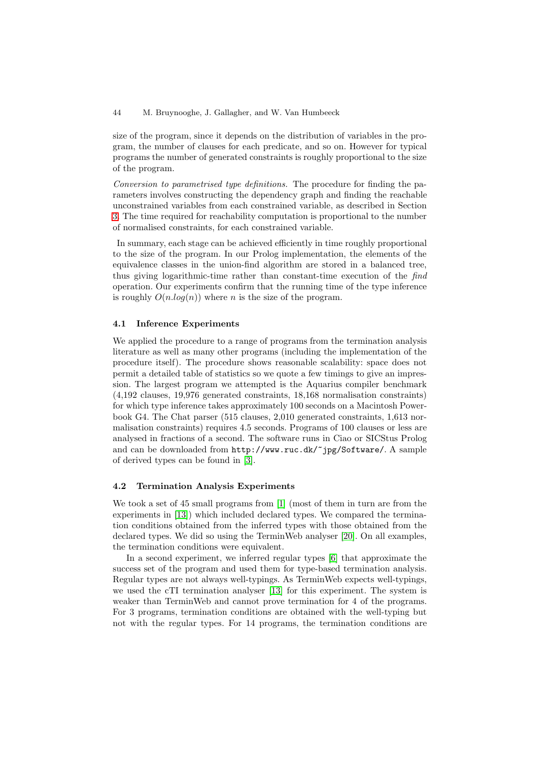size of the program, since it depends on the distribution of variables in the program, the number of clauses for each predicate, and so on. However for typical programs the number of generated constraints is roughly proportional to the size of the program.

*Conversion to parametrised type definitions.* The procedure for finding the parameters involves constructing the dependency graph and finding the reachable unconstrained variables from each constrained variable, as described in Section [3.](#page-7-0) The time required for reachability computation is proportional to the number of normalised constraints, for each constrained variable.

In summary, each stage can be achieved efficiently in time roughly proportional to the size of the program. In our Prolog implementation, the elements of the equivalence classes in the union-find algorithm are stored in a balanced tree, thus giving logarithmic-time rather than constant-time execution of the *find* operation. Our experiments confirm that the running time of the type inference is roughly  $O(n \cdot \log(n))$  where *n* is the size of the program.

#### **4.1 Inference Experiments**

We applied the procedure to a range of programs from the termination analysis literature as well as many other programs (including the implementation of the procedure itself). The procedure shows reasonable scalability: space does not permit a detailed table of statistics so we quote a few timings to give an impression. The largest program we attempted is the Aquarius compiler benchmark (4,192 clauses, 19,976 generated constraints, 18,168 normalisation constraints) for which type inference takes approximately 100 seconds on a Macintosh Powerbook G4. The Chat parser (515 clauses, 2,010 generated constraints, 1,613 normalisation constraints) requires 4.5 seconds. Programs of 100 clauses or less are analysed in fractions of a second. The software runs in Ciao or SICStus Prolog and can be downloaded from http://www.ruc.dk/~jpg/Software/. A sample of derived types can be found in [\[3\]](#page-16-6).

### **4.2 Termination Analysis Experiments**

We took a set of 45 small programs from [\[1\]](#page-15-0) (most of them in turn are from the experiments in [\[13\]](#page-16-1)) which included declared types. We compared the termination conditions obtained from the inferred types with those obtained from the declared types. We did so using the TerminWeb analyser [\[20\]](#page-16-8). On all examples, the termination conditions were equivalent.

In a second experiment, we inferred regular types [\[6\]](#page-16-9) that approximate the success set of the program and used them for type-based termination analysis. Regular types are not always well-typings. As TerminWeb expects well-typings, we used the cTI termination analyser [\[13\]](#page-16-1) for this experiment. The system is weaker than TerminWeb and cannot prove termination for 4 of the programs. For 3 programs, termination conditions are obtained with the well-typing but not with the regular types. For 14 programs, the termination conditions are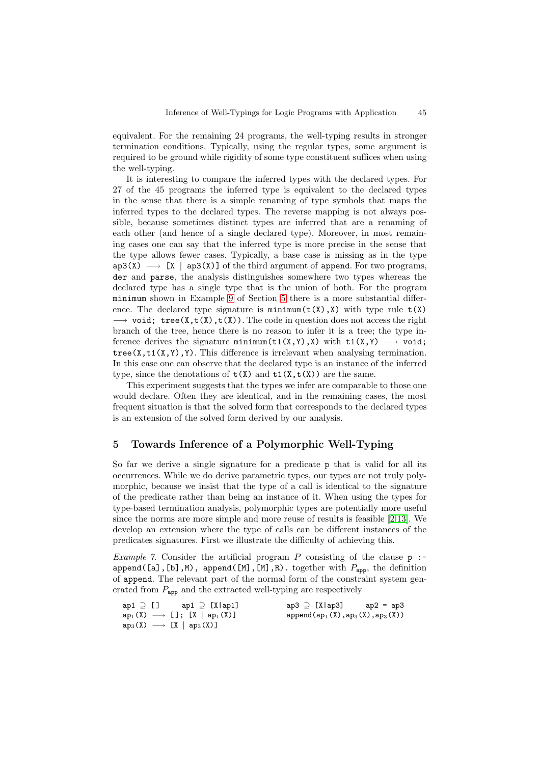equivalent. For the remaining 24 programs, the well-typing results in stronger termination conditions. Typically, using the regular types, some argument is required to be ground while rigidity of some type constituent suffices when using the well-typing.

It is interesting to compare the inferred types with the declared types. For 27 of the 45 programs the inferred type is equivalent to the declared types in the sense that there is a simple renaming of type symbols that maps the inferred types to the declared types. The reverse mapping is not always possible, because sometimes distinct types are inferred that are a renaming of each other (and hence of a single declared type). Moreover, in most remaining cases one can say that the inferred type is more precise in the sense that the type allows fewer cases. Typically, a base case is missing as in the type  $ap3(X) \longrightarrow [X \mid ap3(X)]$  of the third argument of append. For two programs, der and parse, the analysis distinguishes somewhere two types whereas the declared type has a single type that is the union of both. For the program minimum shown in Example [9](#page-13-0) of Section [5](#page-11-0) there is a more substantial difference. The declared type signature is  $minnum(t(X),X)$  with type rule  $t(X)$  $\rightarrow$  void; tree(X,t(X),t(X)). The code in question does not access the right branch of the tree, hence there is no reason to infer it is a tree; the type inference derives the signature minimum(t1(X,Y),X) with t1(X,Y)  $\longrightarrow$  void;  $tree(X, t1(X, Y), Y)$ . This difference is irrelevant when analysing termination. In this case one can observe that the declared type is an instance of the inferred type, since the denotations of  $t(X)$  and  $t1(X,t(X))$  are the same.

This experiment suggests that the types we infer are comparable to those one would declare. Often they are identical, and in the remaining cases, the most frequent situation is that the solved form that corresponds to the declared types is an extension of the solved form derived by our analysis.

### <span id="page-11-0"></span>**5 Towards Inference of a Polymorphic Well-Typing**

So far we derive a single signature for a predicate p that is valid for all its occurrences. While we do derive parametric types, our types are not truly polymorphic, because we insist that the type of a call is identical to the signature of the predicate rather than being an instance of it. When using the types for type-based termination analysis, polymorphic types are potentially more useful since the norms are more simple and more reuse of results is feasible [\[2](#page-16-10)[,13\]](#page-16-1). We develop an extension where the type of calls can be different instances of the predicates signatures. First we illustrate the difficulty of achieving this.

<span id="page-11-1"></span>*Example 7.* Consider the artificial program P consisting of the clause  $p :$ append([a],[b],M), append([M],[M],R). together with  $P_{app}$ , the definition of append. The relevant part of the normal form of the constraint system generated from  $P_{\text{app}}$  and the extracted well-typing are respectively

|  | $ap1 \supseteq [$ ap1 $\supseteq [X ap1]$         | $ap3 \supseteq [X ap3]$ ap2 = ap3   |  |
|--|---------------------------------------------------|-------------------------------------|--|
|  | $ap_1(X) \longrightarrow []$ ; $[X \mid ap_1(X)]$ | $append(ap_1(X), ap_3(X), ap_3(X))$ |  |
|  | $ap_3(X) \longrightarrow [X \mid ap_3(X)]$        |                                     |  |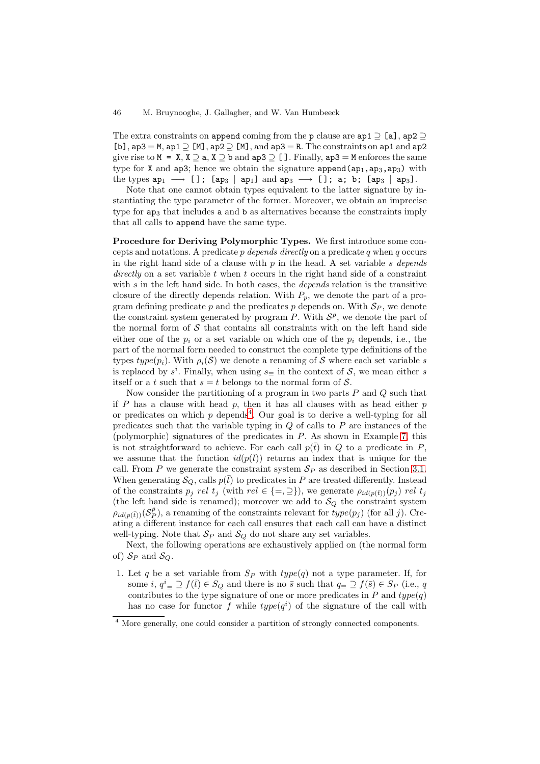The extra constraints on append coming from the p clause are ap1  $\supseteq$  [a], ap2  $\supseteq$ [b],  $ap3 = M$ ,  $ap1 \supseteq [M]$ ,  $ap2 \supseteq [M]$ , and  $ap3 = R$ . The constraints on  $ap1$  and  $ap2$ give rise to  $M = X, X \supseteq a, X \supseteq b$  and  $ap3 \supseteq [$  ]. Finally,  $ap3 = M$  enforces the same type for X and ap3; hence we obtain the signature append( $ap<sub>1</sub>, ap<sub>3</sub>, ap<sub>3</sub>$ ) with the types  $ap_1 \longrightarrow [$ ];  $[ap_3 \mid ap_1]$  and  $ap_3 \longrightarrow [$ ]; a; b;  $[ap_3 \mid ap_3]$ .

Note that one cannot obtain types equivalent to the latter signature by instantiating the type parameter of the former. Moreover, we obtain an imprecise type for  $ap_3$  that includes a and b as alternatives because the constraints imply that all calls to append have the same type.

**Procedure for Deriving Polymorphic Types.** We first introduce some concepts and notations. A predicate p *depends directly* on a predicate q when q occurs in the right hand side of a clause with p in the head. A set variable s *depends*  $directly$  on a set variable  $t$  when  $t$  occurs in the right hand side of a constraint with s in the left hand side. In both cases, the *depends* relation is the transitive closure of the directly depends relation. With  $P_p$ , we denote the part of a program defining predicate p and the predicates p depends on. With  $S_P$ , we denote the constraint system generated by program P. With  $S^{\bar{p}}$ , we denote the part of the normal form of  $S$  that contains all constraints with on the left hand side either one of the  $p_i$  or a set variable on which one of the  $p_i$  depends, i.e., the part of the normal form needed to construct the complete type definitions of the types  $type(p_i)$ . With  $\rho_i(\mathcal{S})$  we denote a renaming of S where each set variable s is replaced by  $s^i$ . Finally, when using  $s_\equiv$  in the context of S, we mean either s itself or a t such that  $s = t$  belongs to the normal form of S.

Now consider the partitioning of a program in two parts  $P$  and  $Q$  such that if P has a clause with head  $p$ , then it has all clauses with as head either  $p$ or predicates on which  $p$  depends<sup>[4](#page-12-0)</sup>. Our goal is to derive a well-typing for all predicates such that the variable typing in  $Q$  of calls to  $P$  are instances of the (polymorphic) signatures of the predicates in P. As shown in Example [7,](#page-11-1) this is not straightforward to achieve. For each call  $p(\bar{t})$  in Q to a predicate in P, we assume that the function  $id(p(\bar{t}))$  returns an index that is unique for the call. From P we generate the constraint system  $S_P$  as described in Section [3.1.](#page-8-1) When generating  $\mathcal{S}_Q$ , calls  $p(\bar{t})$  to predicates in P are treated differently. Instead of the constraints  $p_j$  rel  $t_j$  (with  $rel \in \{\text{=},\text{=}\}\)$ , we generate  $\rho_{id(p(\bar{t}))}(p_j)$  rel  $t_j$ (the left hand side is renamed); moreover we add to  $S_Q$  the constraint system  $\rho_{id(p(\bar{t}))}(S_P^{\bar{p}})$ , a renaming of the constraints relevant for  $type(p_j)$  (for all j). Creating a different instance for each call ensures that each call can have a distinct well-typing. Note that  $S_P$  and  $S_Q$  do not share any set variables.

Next, the following operations are exhaustively applied on (the normal form of)  $S_P$  and  $S_Q$ .

1. Let q be a set variable from  $S_P$  with  $type(q)$  not a type parameter. If, for some  $i, q^i \equiv \supseteq f(\overline{t}) \in S_Q$  and there is no  $\overline{s}$  such that  $q \equiv \supseteq f(\overline{s}) \in S_P$  (i.e., q contributes to the type signature of one or more predicates in  $P$  and  $type(q)$ has no case for functor f while  $type(q^i)$  of the signature of the call with

<span id="page-12-0"></span><sup>4</sup> More generally, one could consider a partition of strongly connected components.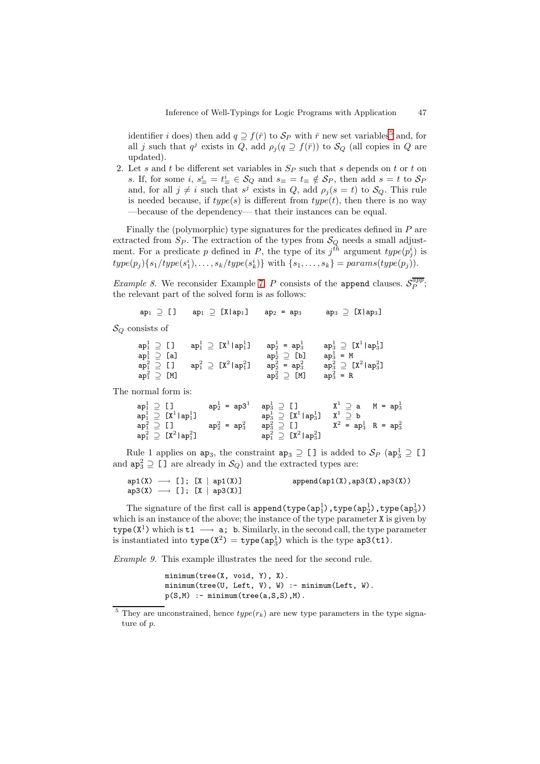identifier i does) then add  $q \supseteq f(\bar{r})$  to  $S_P$  with  $\bar{r}$  new set variables<sup>[5](#page-13-1)</sup> and, for all j such that  $q^j$  exists in Q, add  $\rho_j(q \supseteq f(\bar{r}))$  to  $\mathcal{S}_Q$  (all copies in Q are updated).

2. Let s and t be different set variables in  $S_P$  such that s depends on t or t on s. If, for some  $i, s^i \equiv t^i \equiv \mathcal{E} \mathcal{S}_Q$  and  $s \equiv t \equiv \mathcal{E} \mathcal{S}_P$ , then add  $s = t$  to  $\mathcal{S}_P$ and, for all  $j \neq i$  such that  $s^j$  exists in Q, add  $\rho_i(s = t)$  to  $\mathcal{S}_Q$ . This rule is needed because, if  $type(s)$  is different from  $type(t)$ , then there is no way —because of the dependency— that their instances can be equal.

Finally the (polymorphic) type signatures for the predicates defined in P are extracted from  $S_P$ . The extraction of the types from  $S_Q$  needs a small adjustment. For a predicate p defined in P, the type of its  $j^{th}$  argument  $type(p_i^i)$  is  $type(p_j)\{s_1/type(s_1^i),\ldots,s_k/type(s_k^i)\}\$  with  $\{s_1,\ldots,s_k\} = params(type(p_j)).$ 

*Example 8.* We reconsider Example [7.](#page-11-1) P consists of the append clauses.  $S_{P}^{\overline{app}}$ ; the relevant part of the solved form is as follows:

 $ap_1 \supseteq [1 \quad ap_1 \supseteq [X|ap_1] \quad ap_2 = ap_3 \quad ap_3 \supseteq [X|ap_3]$ 

 $\mathcal{S}_Q$  consists of

 $\mathtt{ap}^1_1 \supseteq [1 \quad \mathtt{ap}^1_1 \supseteq [X^1|\mathtt{ap}^1_1] \quad \mathtt{ap}^1_2 = \mathtt{ap}^1_3 \quad \mathtt{ap}^1_3 \supseteq [X^1|\mathtt{ap}^1_3]$  $\mathtt{ap}^1_2 \supseteq \mathtt{[a]}$  ap $^1_2 \supseteq \mathtt{[b]}$  ap $^1_3 = \mathtt{M}$  $\texttt{ap}_1^2 \supseteq [1 \quad \texttt{ap}_1^2 \supseteq [X^2 | \texttt{ap}_1^2] \quad \texttt{ap}_2^2 = \texttt{ap}_3^2 \quad \texttt{ap}_3^2 \supseteq [X^2 | \texttt{ap}_3^2]$  $ap_1^2 \supseteq [M]$  ap<sub>2</sub>  $\supseteq [M]$  ap<sub>3</sub> = R

The normal form is:

$$
\begin{array}{llllll} {\tt ap}_{1}^{1} \supseteq [1] & {\tt ap}_{2}^{1} = {\tt ap}_{3}^{1} & {\tt ap}_{3}^{1} \supseteq [1] & {\tt X}^{1} \supseteq {\tt a} & {\tt M} = {\tt ap}_{3}^{1} \\ {\tt ap}_{1}^{1} \supseteq [{\tt X}^{1} | {\tt ap}_{1}^{1}] & {\tt ap}_{2}^{2} = {\tt ap}_{3}^{2} & {\tt ap}_{3}^{2} \supseteq [1] & {\tt X}^{2} \supseteq {\tt b} \\ {\tt ap}_{1}^{2} \supseteq [1] & {\tt ap}_{2}^{2} = {\tt ap}_{3}^{2} & {\tt ap}_{3}^{2} \supseteq [1] & {\tt X}^{2} = {\tt ap}_{3}^{1} & {\tt R} = {\tt ap}_{3}^{2} \\ {\tt ap}_{1}^{2} \supseteq [{\tt X}^{2} | {\tt ap}_{1}^{2}] & {\tt ap}_{1}^{2} \supseteq [{\tt X}^{2} | {\tt ap}_{3}^{2}] & \end{array}
$$

Rule 1 applies on ap<sub>3</sub>, the constraint ap<sub>3</sub>  $\supseteq$  [] is added to  $S_P$  (ap<sub>3</sub>  $\supseteq$  [] and  $ap_3^2 \supseteq [1]$  are already in  $S_Q$ ) and the extracted types are:

| $\mathtt{ap1}(\mathtt{X}) \longrightarrow []$ ; $[\mathtt{X} \mid \mathtt{ap1}(\mathtt{X})]$ |  | append(ap1(X), ap3(X), ap3(X)) |
|----------------------------------------------------------------------------------------------|--|--------------------------------|
| $ap3(X) \longrightarrow []$ ; [X   $ap3(X)]$                                                 |  |                                |

The signature of the first call is  $\mathtt{append(type(ap_1^1)}$  ,  $\mathtt{type(ap_2^1)}$  ,  $\mathtt{type(ap_3^1)})$ which is an instance of the above; the instance of the type parameter X is given by type( $X^1$ ) which is t1  $\longrightarrow a$ ; b. Similarly, in the second call, the type parameter is instantiated into  $type(X^2) = type(ap_3^1)$  which is the type  $ap3(t1)$ .

<span id="page-13-0"></span>*Example 9.* This example illustrates the need for the second rule.

minimum(tree(X, void, Y), X). minimum(tree(U, Left, V), W) :- minimum(Left, W).  $p(S,M)$  :- minimum(tree(a,S,S),M).

<span id="page-13-1"></span>They are unconstrained, hence  $type(r_k)$  are new type parameters in the type signature of *p*.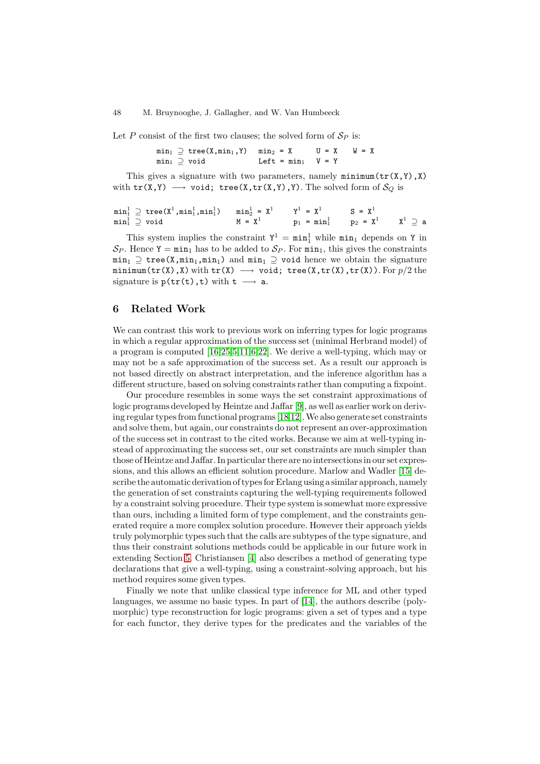Let P consist of the first two clauses; the solved form of  $\mathcal{S}_P$  is:

 $min_1 \supseteq tree(X, min_1, Y)$   $min_2 = X$   $U = X$   $W = X$ <br> $min_1 \supseteq void$  Left =  $min_1$   $V = Y$ Left =  $min_1$ 

This gives a signature with two parameters, namely  $minnum(tr(X, Y), X)$ with  $tr(X,Y) \longrightarrow vol; tree(X, tr(X,Y),Y)$ . The solved form of  $S_Q$  is

$$
\begin{array}{llll}\n\text{min}_{1}^{1} \supseteq \text{tree}(X^{1}, \text{min}_{1}^{1}, \text{min}_{1}^{1}) & \text{min}_{2}^{1} = X^{1} & Y^{1} = X^{1} & S = X^{1} \\
\text{min}_{1}^{1} \supseteq \text{void} & M = X^{1} & p_{1} = \text{min}_{1}^{1} & p_{2} = X^{1} & X^{1} \supseteq a\n\end{array}
$$

This system implies the constraint  $Y^1 = min_1^1$  while  $min_1$  depends on Y in  $S_P$ . Hence Y =  $min_1$  has to be added to  $S_P$ . For  $min_1$ , this gives the constraints  $min_1 \supseteq tree(X,min_1,min_1)$  and  $min_1 \supseteq void$  hence we obtain the signature minimum(tr(X),X) with tr(X)  $\longrightarrow$  void; tree(X,tr(X),tr(X)). For  $p/2$  the signature is  $p(tr(t),t)$  with  $t \longrightarrow a$ .

### <span id="page-14-0"></span>**6 Related Work**

We can contrast this work to previous work on inferring types for logic programs in which a regular approximation of the success set (minimal Herbrand model) of a program is computed [\[16](#page-16-11)[,25](#page-17-2)[,5](#page-16-12)[,11,](#page-16-13)[6](#page-16-9)[,22\]](#page-17-3). We derive a well-typing, which may or may not be a safe approximation of the success set. As a result our approach is not based directly on abstract interpretation, and the inference algorithm has a different structure, based on solving constraints rather than computing a fixpoint.

Our procedure resembles in some ways the set constraint approximations of logic programs developed by Heintze and Jaffar [\[9\]](#page-16-14), as well as earlier work on deriving regular types from functional programs [\[18](#page-16-15)[,12\]](#page-16-16).We also generate set constraints and solve them, but again, our constraints do not represent an over-approximation of the success set in contrast to the cited works. Because we aim at well-typing instead of approximating the success set, our set constraints are much simpler than those of Heintze and Jaffar. In particular there are no intersections in our set expressions, and this allows an efficient solution procedure. Marlow and Wadler [\[15\]](#page-16-17) describe the automatic derivation of types for Erlang using a similar approach, namely the generation of set constraints capturing the well-typing requirements followed by a constraint solving procedure. Their type system is somewhat more expressive than ours, including a limited form of type complement, and the constraints generated require a more complex solution procedure. However their approach yields truly polymorphic types such that the calls are subtypes of the type signature, and thus their constraint solutions methods could be applicable in our future work in extending Section [5.](#page-11-0) Christiansen [\[4\]](#page-16-18) also describes a method of generating type declarations that give a well-typing, using a constraint-solving approach, but his method requires some given types.

Finally we note that unlike classical type inference for ML and other typed languages, we assume no basic types. In part of [\[14\]](#page-16-19), the authors describe (polymorphic) type reconstruction for logic programs: given a set of types and a type for each functor, they derive types for the predicates and the variables of the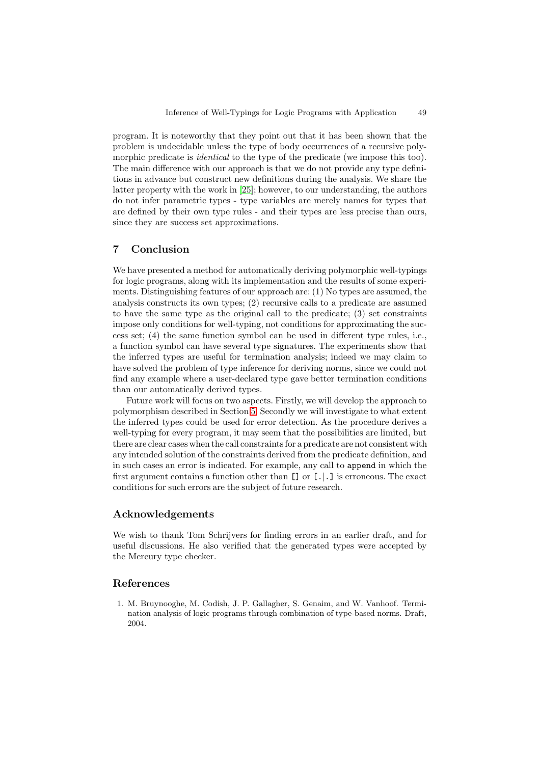program. It is noteworthy that they point out that it has been shown that the problem is undecidable unless the type of body occurrences of a recursive polymorphic predicate is *identical* to the type of the predicate (we impose this too). The main difference with our approach is that we do not provide any type definitions in advance but construct new definitions during the analysis. We share the latter property with the work in [\[25\]](#page-17-2); however, to our understanding, the authors do not infer parametric types - type variables are merely names for types that are defined by their own type rules - and their types are less precise than ours, since they are success set approximations.

### <span id="page-15-2"></span>**7 Conclusion**

We have presented a method for automatically deriving polymorphic well-typings for logic programs, along with its implementation and the results of some experiments. Distinguishing features of our approach are: (1) No types are assumed, the analysis constructs its own types; (2) recursive calls to a predicate are assumed to have the same type as the original call to the predicate; (3) set constraints impose only conditions for well-typing, not conditions for approximating the success set; (4) the same function symbol can be used in different type rules, i.e., a function symbol can have several type signatures. The experiments show that the inferred types are useful for termination analysis; indeed we may claim to have solved the problem of type inference for deriving norms, since we could not find any example where a user-declared type gave better termination conditions than our automatically derived types.

Future work will focus on two aspects. Firstly, we will develop the approach to polymorphism described in Section [5.](#page-11-0) Secondly we will investigate to what extent the inferred types could be used for error detection. As the procedure derives a well-typing for every program, it may seem that the possibilities are limited, but there are clear cases when the call constraints for a predicate are not consistent with any intended solution of the constraints derived from the predicate definition, and in such cases an error is indicated. For example, any call to append in which the first argument contains a function other than [] or [.|.] is erroneous. The exact conditions for such errors are the subject of future research.

### **Acknowledgements**

We wish to thank Tom Schrijvers for finding errors in an earlier draft, and for useful discussions. He also verified that the generated types were accepted by the Mercury type checker.

### <span id="page-15-1"></span><span id="page-15-0"></span>**References**

1. M. Bruynooghe, M. Codish, J. P. Gallagher, S. Genaim, and W. Vanhoof. Termination analysis of logic programs through combination of type-based norms. Draft, 2004.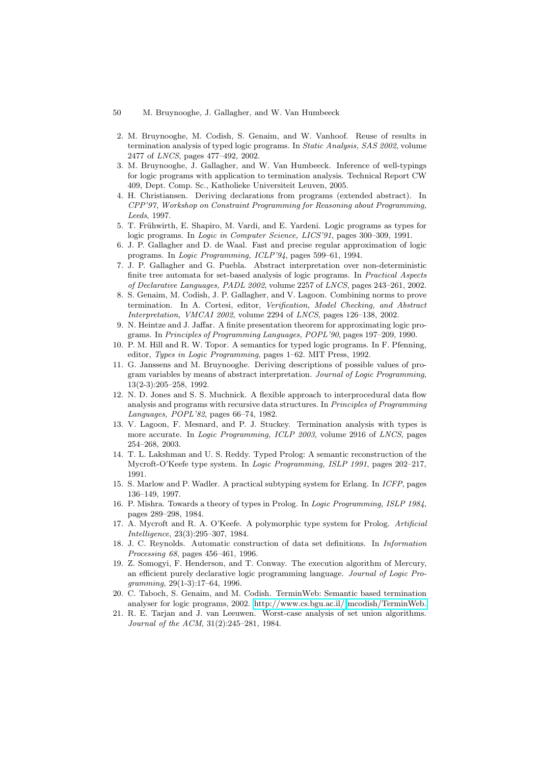- <span id="page-16-10"></span>2. M. Bruynooghe, M. Codish, S. Genaim, and W. Vanhoof. Reuse of results in termination analysis of typed logic programs. In *Static Analysis, SAS 2002*, volume 2477 of *LNCS*, pages 477–492, 2002.
- <span id="page-16-6"></span>3. M. Bruynooghe, J. Gallagher, and W. Van Humbeeck. Inference of well-typings for logic programs with application to termination analysis. Technical Report CW 409, Dept. Comp. Sc., Katholieke Universiteit Leuven, 2005.
- <span id="page-16-18"></span>4. H. Christiansen. Deriving declarations from programs (extended abstract). In *CPP'97, Workshop on Constraint Programming for Reasoning about Programming, Leeds*, 1997.
- <span id="page-16-12"></span><span id="page-16-9"></span>5. T. Frühwirth, E. Shapiro, M. Vardi, and E. Yardeni. Logic programs as types for logic programs. In *Logic in Computer Science, LICS'91*, pages 300–309, 1991.
- 6. J. P. Gallagher and D. de Waal. Fast and precise regular approximation of logic programs. In *Logic Programming, ICLP'94*, pages 599–61, 1994.
- <span id="page-16-2"></span>7. J. P. Gallagher and G. Puebla. Abstract interpretation over non-deterministic finite tree automata for set-based analysis of logic programs. In *Practical Aspects of Declarative Languages, PADL 2002*, volume 2257 of *LNCS*, pages 243–261, 2002.
- <span id="page-16-0"></span>8. S. Genaim, M. Codish, J. P. Gallagher, and V. Lagoon. Combining norms to prove termination. In A. Cortesi, editor, *Verification, Model Checking, and Abstract Interpretation, VMCAI 2002*, volume 2294 of *LNCS*, pages 126–138, 2002.
- <span id="page-16-14"></span>9. N. Heintze and J. Jaffar. A finite presentation theorem for approximating logic programs. In *Principles of Programming Languages, POPL'90*, pages 197–209, 1990.
- <span id="page-16-5"></span>10. P. M. Hill and R. W. Topor. A semantics for typed logic programs. In F. Pfenning, editor, *Types in Logic Programming*, pages 1–62. MIT Press, 1992.
- <span id="page-16-13"></span>11. G. Janssens and M. Bruynooghe. Deriving descriptions of possible values of program variables by means of abstract interpretation. *Journal of Logic Programming*, 13(2-3):205–258, 1992.
- <span id="page-16-16"></span>12. N. D. Jones and S. S. Muchnick. A flexible approach to interprocedural data flow analysis and programs with recursive data structures. In *Principles of Programming Languages, POPL'82*, pages 66–74, 1982.
- <span id="page-16-1"></span>13. V. Lagoon, F. Mesnard, and P. J. Stuckey. Termination analysis with types is more accurate. In *Logic Programming, ICLP 2003*, volume 2916 of *LNCS*, pages 254–268, 2003.
- <span id="page-16-19"></span>14. T. L. Lakshman and U. S. Reddy. Typed Prolog: A semantic reconstruction of the Mycroft-O'Keefe type system. In *Logic Programming, ISLP 1991*, pages 202–217, 1991.
- <span id="page-16-17"></span>15. S. Marlow and P. Wadler. A practical subtyping system for Erlang. In *ICFP*, pages 136–149, 1997.
- <span id="page-16-11"></span>16. P. Mishra. Towards a theory of types in Prolog. In *Logic Programming, ISLP 1984*, pages 289–298, 1984.
- <span id="page-16-4"></span>17. A. Mycroft and R. A. O'Keefe. A polymorphic type system for Prolog. *Artificial Intelligence*, 23(3):295–307, 1984.
- <span id="page-16-15"></span>18. J. C. Reynolds. Automatic construction of data set definitions. In *Information Processing 68*, pages 456–461, 1996.
- <span id="page-16-3"></span>19. Z. Somogyi, F. Henderson, and T. Conway. The execution algorithm of Mercury, an efficient purely declarative logic programming language. *Journal of Logic Programming*, 29(1-3):17–64, 1996.
- <span id="page-16-8"></span>20. C. Taboch, S. Genaim, and M. Codish. TerminWeb: Semantic based termination analyser for logic programs, 2002. [http://www.cs.bgu.ac.il/ mcodish/TerminWeb.](http://www.cs.bgu.ac.il/~mcodish/TerminWeb.)
- <span id="page-16-7"></span>21. R. E. Tarjan and J. van Leeuwen. Worst-case analysis of set union algorithms. *Journal of the ACM*, 31(2):245–281, 1984.